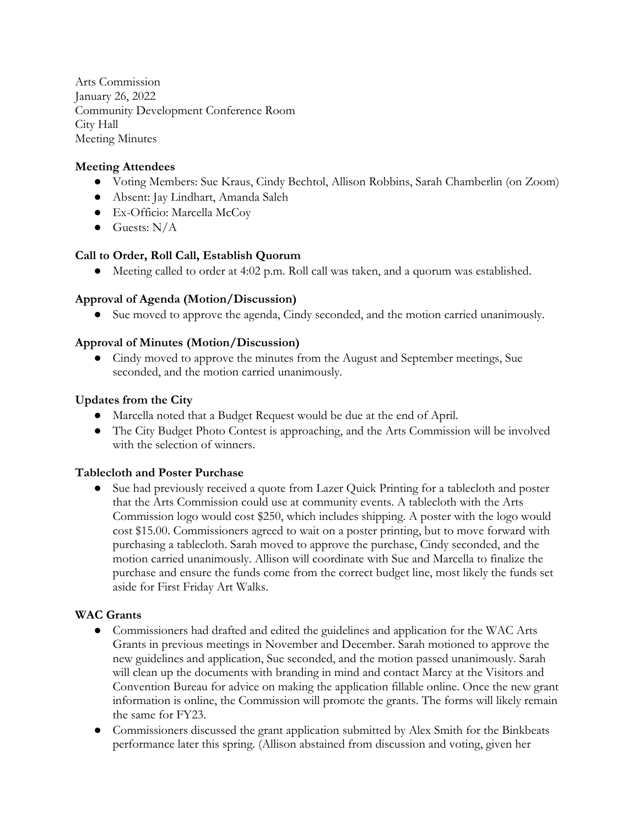Arts Commission January 26, 2022 Community Development Conference Room City Hall Meeting Minutes

# **Meeting Attendees**

- Voting Members: Sue Kraus, Cindy Bechtol, Allison Robbins, Sarah Chamberlin (on Zoom)
- Absent: Jay Lindhart, Amanda Saleh
- Ex-Officio: Marcella McCoy
- $\bullet$  Guests: N/A

## **Call to Order, Roll Call, Establish Quorum**

● Meeting called to order at 4:02 p.m. Roll call was taken, and a quorum was established.

### **Approval of Agenda (Motion/Discussion)**

● Sue moved to approve the agenda, Cindy seconded, and the motion carried unanimously.

### **Approval of Minutes (Motion/Discussion)**

● Cindy moved to approve the minutes from the August and September meetings, Sue seconded, and the motion carried unanimously.

### **Updates from the City**

- Marcella noted that a Budget Request would be due at the end of April.
- The City Budget Photo Contest is approaching, and the Arts Commission will be involved with the selection of winners.

## **Tablecloth and Poster Purchase**

● Sue had previously received a quote from Lazer Quick Printing for a tablecloth and poster that the Arts Commission could use at community events. A tablecloth with the Arts Commission logo would cost \$250, which includes shipping. A poster with the logo would cost \$15.00. Commissioners agreed to wait on a poster printing, but to move forward with purchasing a tablecloth. Sarah moved to approve the purchase, Cindy seconded, and the motion carried unanimously. Allison will coordinate with Sue and Marcella to finalize the purchase and ensure the funds come from the correct budget line, most likely the funds set aside for First Friday Art Walks.

## **WAC Grants**

- Commissioners had drafted and edited the guidelines and application for the WAC Arts Grants in previous meetings in November and December. Sarah motioned to approve the new guidelines and application, Sue seconded, and the motion passed unanimously. Sarah will clean up the documents with branding in mind and contact Marcy at the Visitors and Convention Bureau for advice on making the application fillable online. Once the new grant information is online, the Commission will promote the grants. The forms will likely remain the same for FY23.
- Commissioners discussed the grant application submitted by Alex Smith for the Binkbeats performance later this spring. (Allison abstained from discussion and voting, given her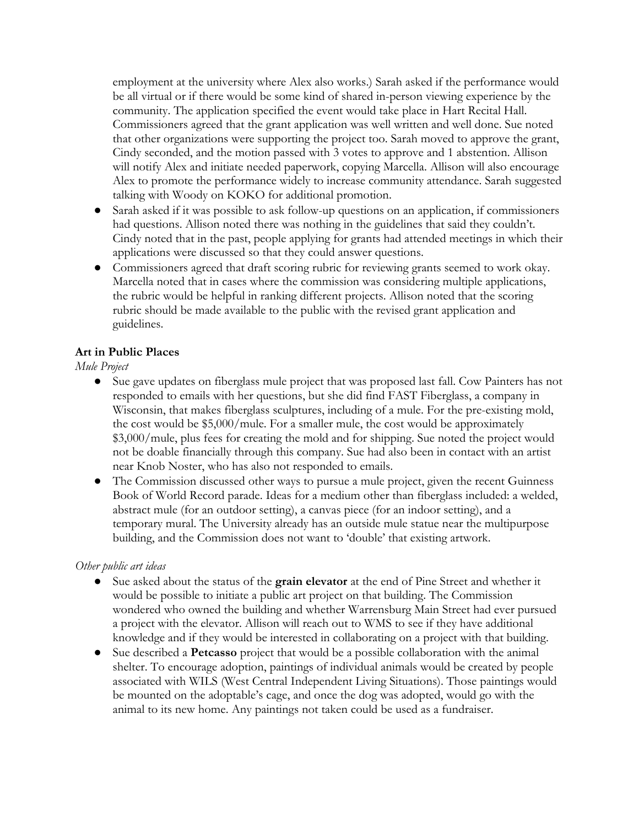employment at the university where Alex also works.) Sarah asked if the performance would be all virtual or if there would be some kind of shared in-person viewing experience by the community. The application specified the event would take place in Hart Recital Hall. Commissioners agreed that the grant application was well written and well done. Sue noted that other organizations were supporting the project too. Sarah moved to approve the grant, Cindy seconded, and the motion passed with 3 votes to approve and 1 abstention. Allison will notify Alex and initiate needed paperwork, copying Marcella. Allison will also encourage Alex to promote the performance widely to increase community attendance. Sarah suggested talking with Woody on KOKO for additional promotion.

- Sarah asked if it was possible to ask follow-up questions on an application, if commissioners had questions. Allison noted there was nothing in the guidelines that said they couldn't. Cindy noted that in the past, people applying for grants had attended meetings in which their applications were discussed so that they could answer questions.
- Commissioners agreed that draft scoring rubric for reviewing grants seemed to work okay. Marcella noted that in cases where the commission was considering multiple applications, the rubric would be helpful in ranking different projects. Allison noted that the scoring rubric should be made available to the public with the revised grant application and guidelines.

## **Art in Public Places**

### *Mule Project*

- Sue gave updates on fiberglass mule project that was proposed last fall. Cow Painters has not responded to emails with her questions, but she did find FAST Fiberglass, a company in Wisconsin, that makes fiberglass sculptures, including of a mule. For the pre-existing mold, the cost would be \$5,000/mule. For a smaller mule, the cost would be approximately \$3,000/mule, plus fees for creating the mold and for shipping. Sue noted the project would not be doable financially through this company. Sue had also been in contact with an artist near Knob Noster, who has also not responded to emails.
- The Commission discussed other ways to pursue a mule project, given the recent Guinness Book of World Record parade. Ideas for a medium other than fiberglass included: a welded, abstract mule (for an outdoor setting), a canvas piece (for an indoor setting), and a temporary mural. The University already has an outside mule statue near the multipurpose building, and the Commission does not want to 'double' that existing artwork.

#### *Other public art ideas*

- Sue asked about the status of the **grain elevator** at the end of Pine Street and whether it would be possible to initiate a public art project on that building. The Commission wondered who owned the building and whether Warrensburg Main Street had ever pursued a project with the elevator. Allison will reach out to WMS to see if they have additional knowledge and if they would be interested in collaborating on a project with that building.
- Sue described a **Petcasso** project that would be a possible collaboration with the animal shelter. To encourage adoption, paintings of individual animals would be created by people associated with WILS (West Central Independent Living Situations). Those paintings would be mounted on the adoptable's cage, and once the dog was adopted, would go with the animal to its new home. Any paintings not taken could be used as a fundraiser.